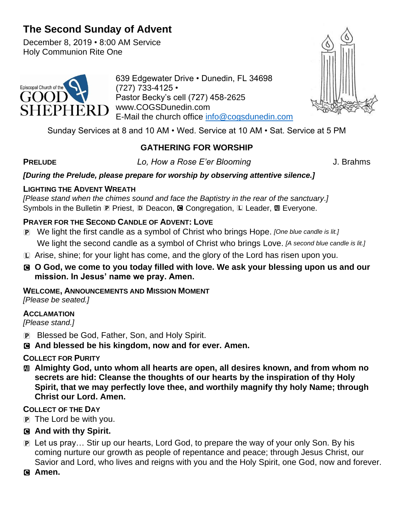# **The Second Sunday of Advent**

December 8, 2019 • 8:00 AM Service Holy Communion Rite One



639 Edgewater Drive • Dunedin, FL 34698 (727) 733-4125 • Pastor Becky's cell (727) 458-2625 www.COGSDunedin.com E-Mail the church office [info@cogsdunedin.com](mailto:info@cogsdunedin.com)



Sunday Services at 8 and 10 AM • Wed. Service at 10 AM • Sat. Service at 5 PM

# **GATHERING FOR WORSHIP**

**PRELUDE** *Lo, How a Rose E'er Blooming* J. Brahms

## *[During the Prelude, please prepare for worship by observing attentive silence.]*

## **LIGHTING THE ADVENT WREATH**

*[Please stand when the chimes sound and face the Baptistry in the rear of the sanctuary.]* Symbols in the Bulletin P Priest, D Deacon, <sup>C</sup> Congregation, L Leader, <sup>2</sup> Everyone.

# **PRAYER FOR THE SECOND CANDLE OF ADVENT: LOVE**

- P We light the first candle as a symbol of Christ who brings Hope. *[One blue candle is lit.]* We light the second candle as a symbol of Christ who brings Love. *[A second blue candle is lit.]*
- L Arise, shine; for your light has come, and the glory of the Lord has risen upon you.
- C **O God, we come to you today filled with love. We ask your blessing upon us and our mission. In Jesus' name we pray. Amen.**

# **WELCOME, ANNOUNCEMENTS AND MISSION MOMENT**

*[Please be seated.]*

### **ACCLAMATION**

*[Please stand.]*

- P Blessed be God, Father, Son, and Holy Spirit.
- C **And blessed be his kingdom, now and for ever. Amen.**

# **COLLECT FOR PURITY**

a **Almighty God, unto whom all hearts are open, all desires known, and from whom no secrets are hid: Cleanse the thoughts of our hearts by the inspiration of thy Holy Spirit, that we may perfectly love thee, and worthily magnify thy holy Name; through Christ our Lord. Amen.**

# **COLLECT OF THE DAY**

- $\overline{p}$  The Lord be with you.
- C **And with thy Spirit.**
- P Let us pray… Stir up our hearts, Lord God, to prepare the way of your only Son. By his coming nurture our growth as people of repentance and peace; through Jesus Christ, our Savior and Lord, who lives and reigns with you and the Holy Spirit, one God, now and forever.
- C **Amen.**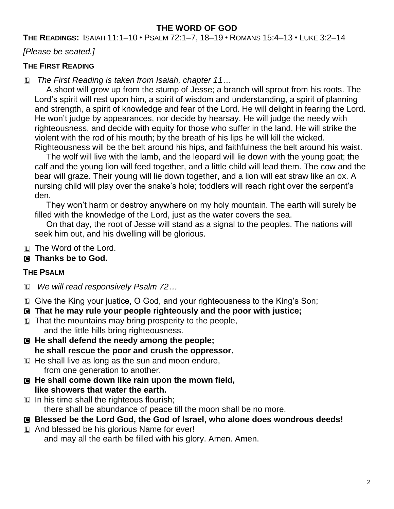# **THE WORD OF GOD**

**THE READINGS:** ISAIAH 11:1–10 • PSALM 72:1–7, 18–19 • ROMANS 15:4–13 • LUKE 3:2–14

*[Please be seated.]*

#### **THE FIRST READING**

L *The First Reading is taken from Isaiah, chapter 11…*

A shoot will grow up from the stump of Jesse; a branch will sprout from his roots. The Lord's spirit will rest upon him, a spirit of wisdom and understanding, a spirit of planning and strength, a spirit of knowledge and fear of the Lord. He will delight in fearing the Lord. He won't judge by appearances, nor decide by hearsay. He will judge the needy with righteousness, and decide with equity for those who suffer in the land. He will strike the violent with the rod of his mouth; by the breath of his lips he will kill the wicked. Righteousness will be the belt around his hips, and faithfulness the belt around his waist.

The wolf will live with the lamb, and the leopard will lie down with the young goat; the calf and the young lion will feed together, and a little child will lead them. The cow and the bear will graze. Their young will lie down together, and a lion will eat straw like an ox. A nursing child will play over the snake's hole; toddlers will reach right over the serpent's den.

They won't harm or destroy anywhere on my holy mountain. The earth will surely be filled with the knowledge of the Lord, just as the water covers the sea.

On that day, the root of Jesse will stand as a signal to the peoples. The nations will seek him out, and his dwelling will be glorious.

L The Word of the Lord.

### C **Thanks be to God.**

### **THE PSALM**

- L *We will read responsively Psalm 72…*
- L Give the King your justice, O God, and your righteousness to the King's Son;
- C **That he may rule your people righteously and the poor with justice;**
- $E$  That the mountains may bring prosperity to the people, and the little hills bring righteousness.
- C **He shall defend the needy among the people; he shall rescue the poor and crush the oppressor.**
- $\Box$  He shall live as long as the sun and moon endure, from one generation to another.
- C **He shall come down like rain upon the mown field, like showers that water the earth.**
- $\Box$  In his time shall the righteous flourish; there shall be abundance of peace till the moon shall be no more.
- C **Blessed be the Lord God, the God of Israel, who alone does wondrous deeds!**
- L And blessed be his glorious Name for ever! and may all the earth be filled with his glory. Amen. Amen.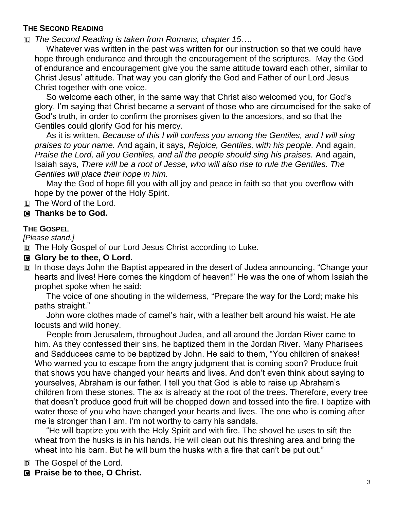## **THE SECOND READING**

L *The Second Reading is taken from Romans, chapter 15….*

Whatever was written in the past was written for our instruction so that we could have hope through endurance and through the encouragement of the scriptures. May the God of endurance and encouragement give you the same attitude toward each other, similar to Christ Jesus' attitude. That way you can glorify the God and Father of our Lord Jesus Christ together with one voice.

So welcome each other, in the same way that Christ also welcomed you, for God's glory. I'm saying that Christ became a servant of those who are circumcised for the sake of God's truth, in order to confirm the promises given to the ancestors, and so that the Gentiles could glorify God for his mercy.

As it is written, *Because of this I will confess you among the Gentiles, and I will sing praises to your name.* And again, it says, *Rejoice, Gentiles, with his people.* And again, *Praise the Lord, all you Gentiles, and all the people should sing his praises.* And again, Isaiah says, *There will be a root of Jesse, who will also rise to rule the Gentiles. The Gentiles will place their hope in him.*

May the God of hope fill you with all joy and peace in faith so that you overflow with hope by the power of the Holy Spirit.

L The Word of the Lord.

### C **Thanks be to God.**

#### **THE GOSPEL**

*[Please stand.]*

D The Holy Gospel of our Lord Jesus Christ according to Luke.

### **G** Glory be to thee, O Lord.

D In those days John the Baptist appeared in the desert of Judea announcing, "Change your hearts and lives! Here comes the kingdom of heaven!" He was the one of whom Isaiah the prophet spoke when he said:

The voice of one shouting in the wilderness, "Prepare the way for the Lord; make his paths straight."

John wore clothes made of camel's hair, with a leather belt around his waist. He ate locusts and wild honey.

People from Jerusalem, throughout Judea, and all around the Jordan River came to him. As they confessed their sins, he baptized them in the Jordan River. Many Pharisees and Sadducees came to be baptized by John. He said to them, "You children of snakes! Who warned you to escape from the angry judgment that is coming soon? Produce fruit that shows you have changed your hearts and lives. And don't even think about saying to yourselves, Abraham is our father. I tell you that God is able to raise up Abraham's children from these stones. The ax is already at the root of the trees. Therefore, every tree that doesn't produce good fruit will be chopped down and tossed into the fire. I baptize with water those of you who have changed your hearts and lives. The one who is coming after me is stronger than I am. I'm not worthy to carry his sandals.

"He will baptize you with the Holy Spirit and with fire. The shovel he uses to sift the wheat from the husks is in his hands. He will clean out his threshing area and bring the wheat into his barn. But he will burn the husks with a fire that can't be put out."

D The Gospel of the Lord.

C **Praise be to thee, O Christ.**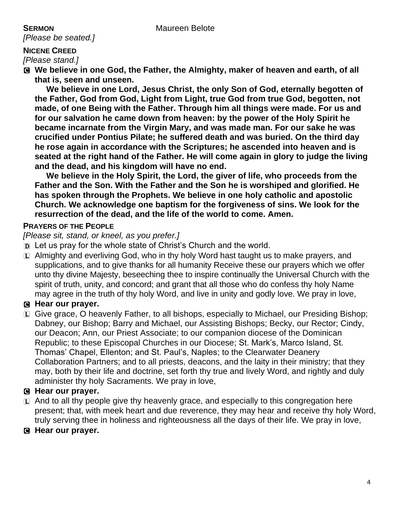*[Please be seated.]*

# **NICENE CREED**

*[Please stand.]*

C **We believe in one God, the Father, the Almighty, maker of heaven and earth, of all that is, seen and unseen.** 

**We believe in one Lord, Jesus Christ, the only Son of God, eternally begotten of the Father, God from God, Light from Light, true God from true God, begotten, not made, of one Being with the Father. Through him all things were made. For us and for our salvation he came down from heaven: by the power of the Holy Spirit he became incarnate from the Virgin Mary, and was made man. For our sake he was crucified under Pontius Pilate; he suffered death and was buried. On the third day he rose again in accordance with the Scriptures; he ascended into heaven and is seated at the right hand of the Father. He will come again in glory to judge the living and the dead, and his kingdom will have no end.**

**We believe in the Holy Spirit, the Lord, the giver of life, who proceeds from the Father and the Son. With the Father and the Son he is worshiped and glorified. He has spoken through the Prophets. We believe in one holy catholic and apostolic Church. We acknowledge one baptism for the forgiveness of sins. We look for the resurrection of the dead, and the life of the world to come. Amen.**

### **PRAYERS OF THE PEOPLE**

*[Please sit, stand, or kneel, as you prefer.]*

- D Let us pray for the whole state of Christ's Church and the world.
- L Almighty and everliving God, who in thy holy Word hast taught us to make prayers, and supplications, and to give thanks for all humanity Receive these our prayers which we offer unto thy divine Majesty, beseeching thee to inspire continually the Universal Church with the spirit of truth, unity, and concord; and grant that all those who do confess thy holy Name may agree in the truth of thy holy Word, and live in unity and godly love. We pray in love,

### C **Hear our prayer.**

L Give grace, O heavenly Father, to all bishops, especially to Michael, our Presiding Bishop; Dabney, our Bishop; Barry and Michael, our Assisting Bishops; Becky, our Rector; Cindy, our Deacon; Ann, our Priest Associate; to our companion diocese of the Dominican Republic; to these Episcopal Churches in our Diocese; St. Mark's, Marco Island, St. Thomas' Chapel, Ellenton; and St. Paul's, Naples; to the Clearwater Deanery Collaboration Partners; and to all priests, deacons, and the laity in their ministry; that they may, both by their life and doctrine, set forth thy true and lively Word, and rightly and duly administer thy holy Sacraments. We pray in love,

### C **Hear our prayer.**

- $\Box$  And to all thy people give thy heavenly grace, and especially to this congregation here present; that, with meek heart and due reverence, they may hear and receive thy holy Word, truly serving thee in holiness and righteousness all the days of their life. We pray in love,
- C **Hear our prayer.**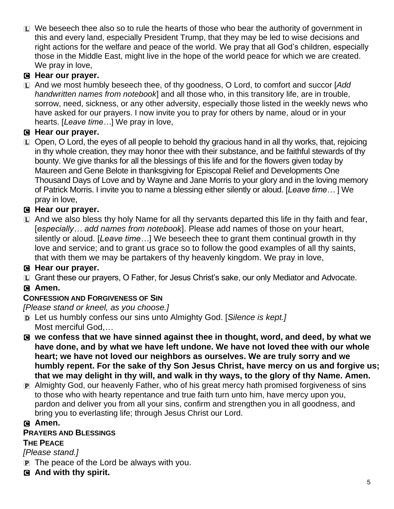$\Box$  We beseech thee also so to rule the hearts of those who bear the authority of government in this and every land, especially President Trump, that they may be led to wise decisions and right actions for the welfare and peace of the world. We pray that all God's children, especially those in the Middle East, might live in the hope of the world peace for which we are created. We pray in love,

# C **Hear our prayer.**

L And we most humbly beseech thee, of thy goodness, O Lord, to comfort and succor [*Add handwritten names from notebook*] and all those who, in this transitory life, are in trouble, sorrow, need, sickness, or any other adversity, especially those listed in the weekly news who have asked for our prayers. I now invite you to pray for others by name, aloud or in your hearts. [*Leave time…*] We pray in love,

# C **Hear our prayer.**

L Open, O Lord, the eyes of all people to behold thy gracious hand in all thy works, that, rejoicing in thy whole creation, they may honor thee with their substance, and be faithful stewards of thy bounty. We give thanks for all the blessings of this life and for the flowers given today by Maureen and Gene Belote in thanksgiving for Episcopal Relief and Developments One Thousand Days of Love and by Wayne and Jane Morris to your glory and in the loving memory of Patrick Morris. I invite you to name a blessing either silently or aloud. [*Leave time…* ] We pray in love,

# C **Hear our prayer.**

 $\Box$  And we also bless thy holy Name for all thy servants departed this life in thy faith and fear, [*especially… add names from notebook*]. Please add names of those on your heart, silently or aloud. [*Leave time…*] We beseech thee to grant them continual growth in thy love and service; and to grant us grace so to follow the good examples of all thy saints, that with them we may be partakers of thy heavenly kingdom. We pray in love,

# C **Hear our prayer.**

L Grant these our prayers, O Father, for Jesus Christ's sake, our only Mediator and Advocate.

# C **Amen.**

# **CONFESSION AND FORGIVENESS OF SIN**

*[Please stand or kneel, as you choose.]*

- D Let us humbly confess our sins unto Almighty God. [*Silence is kept.]*  Most merciful God,*…*
- C **we confess that we have sinned against thee in thought, word, and deed, by what we have done, and by what we have left undone. We have not loved thee with our whole heart; we have not loved our neighbors as ourselves. We are truly sorry and we humbly repent. For the sake of thy Son Jesus Christ, have mercy on us and forgive us; that we may delight in thy will, and walk in thy ways, to the glory of thy Name. Amen.**
- P Almighty God, our heavenly Father, who of his great mercy hath promised forgiveness of sins to those who with hearty repentance and true faith turn unto him, have mercy upon you, pardon and deliver you from all your sins, confirm and strengthen you in all goodness, and bring you to everlasting life; through Jesus Christ our Lord.

# C **Amen.**

# **PRAYERS AND BLESSINGS**

# **THE PEACE**

*[Please stand.]*

- $\overline{p}$  The peace of the Lord be always with you.
- C **And with thy spirit.**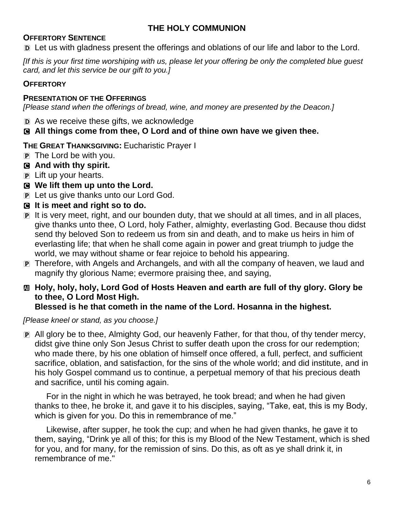# **THE HOLY COMMUNION**

#### **OFFERTORY SENTENCE**

D Let us with gladness present the offerings and oblations of our life and labor to the Lord.

*[If this is your first time worshiping with us, please let your offering be only the completed blue guest card, and let this service be our gift to you.]*

#### **OFFERTORY**

#### **PRESENTATION OF THE OFFERINGS**

*[Please stand when the offerings of bread, wine, and money are presented by the Deacon.]*

D As we receive these gifts, we acknowledge

### C **All things come from thee, O Lord and of thine own have we given thee.**

**THE GREAT THANKSGIVING:** Eucharistic Prayer I

- $\mathbf{p}$  The Lord be with you.
- C **And with thy spirit.**
- P Lift up your hearts.
- C **We lift them up unto the Lord.**
- P Let us give thanks unto our Lord God.
- C **It is meet and right so to do.**
- P It is very meet, right, and our bounden duty, that we should at all times, and in all places, give thanks unto thee, O Lord, holy Father, almighty, everlasting God. Because thou didst send thy beloved Son to redeem us from sin and death, and to make us heirs in him of everlasting life; that when he shall come again in power and great triumph to judge the world, we may without shame or fear rejoice to behold his appearing.
- P Therefore, with Angels and Archangels, and with all the company of heaven, we laud and magnify thy glorious Name; evermore praising thee, and saying,

# a **Holy, holy, holy, Lord God of Hosts Heaven and earth are full of thy glory. Glory be to thee, O Lord Most High.**

#### **Blessed is he that cometh in the name of the Lord. Hosanna in the highest.**

*[Please kneel or stand, as you choose.]*

P All glory be to thee, Almighty God, our heavenly Father, for that thou, of thy tender mercy, didst give thine only Son Jesus Christ to suffer death upon the cross for our redemption; who made there, by his one oblation of himself once offered, a full, perfect, and sufficient sacrifice, oblation, and satisfaction, for the sins of the whole world; and did institute, and in his holy Gospel command us to continue, a perpetual memory of that his precious death and sacrifice, until his coming again.

For in the night in which he was betrayed, he took bread; and when he had given thanks to thee, he broke it, and gave it to his disciples, saying, "Take, eat, this is my Body, which is given for you. Do this in remembrance of me."

Likewise, after supper, he took the cup; and when he had given thanks, he gave it to them, saying, "Drink ye all of this; for this is my Blood of the New Testament, which is shed for you, and for many, for the remission of sins. Do this, as oft as ye shall drink it, in remembrance of me."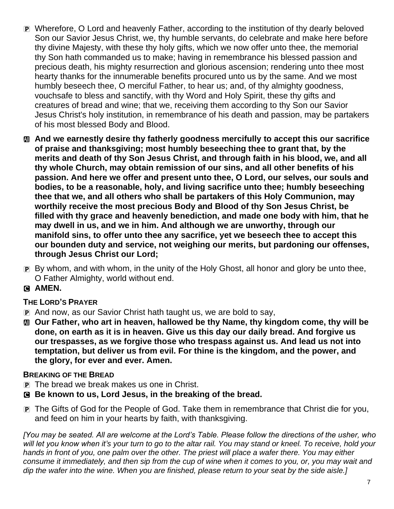- P Wherefore, O Lord and heavenly Father, according to the institution of thy dearly beloved Son our Savior Jesus Christ, we, thy humble servants, do celebrate and make here before thy divine Majesty, with these thy holy gifts, which we now offer unto thee, the memorial thy Son hath commanded us to make; having in remembrance his blessed passion and precious death, his mighty resurrection and glorious ascension; rendering unto thee most hearty thanks for the innumerable benefits procured unto us by the same. And we most humbly beseech thee, O merciful Father, to hear us; and, of thy almighty goodness, vouchsafe to bless and sanctify, with thy Word and Holy Spirit, these thy gifts and creatures of bread and wine; that we, receiving them according to thy Son our Savior Jesus Christ's holy institution, in remembrance of his death and passion, may be partakers of his most blessed Body and Blood.
- a **And we earnestly desire thy fatherly goodness mercifully to accept this our sacrifice of praise and thanksgiving; most humbly beseeching thee to grant that, by the merits and death of thy Son Jesus Christ, and through faith in his blood, we, and all thy whole Church, may obtain remission of our sins, and all other benefits of his passion. And here we offer and present unto thee, O Lord, our selves, our souls and bodies, to be a reasonable, holy, and living sacrifice unto thee; humbly beseeching thee that we, and all others who shall be partakers of this Holy Communion, may worthily receive the most precious Body and Blood of thy Son Jesus Christ, be filled with thy grace and heavenly benediction, and made one body with him, that he may dwell in us, and we in him. And although we are unworthy, through our manifold sins, to offer unto thee any sacrifice, yet we beseech thee to accept this our bounden duty and service, not weighing our merits, but pardoning our offenses, through Jesus Christ our Lord;**
- P By whom, and with whom, in the unity of the Holy Ghost, all honor and glory be unto thee, O Father Almighty, world without end.
- C **AMEN.**

# **THE LORD'S PRAYER**

- P And now, as our Savior Christ hath taught us, we are bold to say,
- a **Our Father, who art in heaven, hallowed be thy Name, thy kingdom come, thy will be done, on earth as it is in heaven. Give us this day our daily bread. And forgive us our trespasses, as we forgive those who trespass against us. And lead us not into temptation, but deliver us from evil. For thine is the kingdom, and the power, and the glory, for ever and ever. Amen.**

### **BREAKING OF THE BREAD**

- P The bread we break makes us one in Christ.
- C **Be known to us, Lord Jesus, in the breaking of the bread.**
- P The Gifts of God for the People of God. Take them in remembrance that Christ die for you, and feed on him in your hearts by faith, with thanksgiving.

*[You may be seated. All are welcome at the Lord's Table. Please follow the directions of the usher, who will let you know when it's your turn to go to the altar rail. You may stand or kneel. To receive, hold your hands in front of you, one palm over the other. The priest will place a wafer there. You may either consume it immediately, and then sip from the cup of wine when it comes to you, or, you may wait and dip the wafer into the wine. When you are finished, please return to your seat by the side aisle.]*